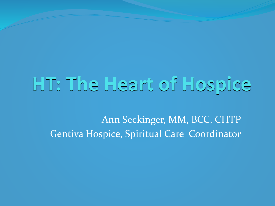## **HT: The Heart of Hospice**

Ann Seckinger, MM, BCC, CHTP Gentiva Hospice, Spiritual Care Coordinator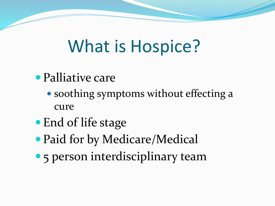## What is Hospice?

- Palliative care
	- soothing symptoms without effecting a cure
- End of life stage
- Paid for by Medicare/Medical
- 5 person interdisciplinary team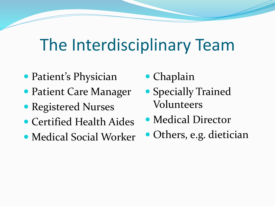## The Interdisciplinary Team

- Patient's Physician
- Patient Care Manager
- Registered Nurses
- Certified Health Aides
- Medical Social Worker
- Chaplain
- Specially Trained Volunteers
- Medical Director
- Others, e.g. dietician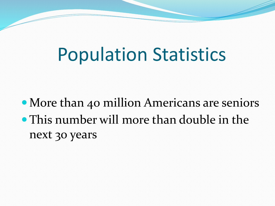## Population Statistics

• More than 40 million Americans are seniors This number will more than double in the next 30 years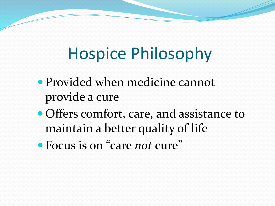## Hospice Philosophy

- Provided when medicine cannot provide a cure
- Offers comfort, care, and assistance to maintain a better quality of life
- Focus is on "care *not* cure"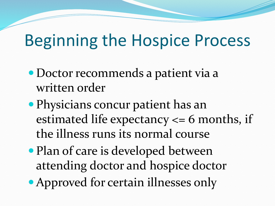### Beginning the Hospice Process

- Doctor recommends a patient via a written order
- Physicians concur patient has an estimated life expectancy <= 6 months, if the illness runs its normal course
- Plan of care is developed between attending doctor and hospice doctor
- Approved for certain illnesses only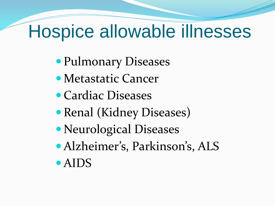## Hospice allowable illnesses

- Pulmonary Diseases
- Metastatic Cancer
- Cardiac Diseases
- Renal (Kidney Diseases)
- Neurological Diseases
- Alzheimer's, Parkinson's, ALS
- AIDS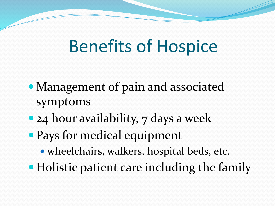## Benefits of Hospice

- Management of pain and associated symptoms
- 24 hour availability, 7 days a week
- Pays for medical equipment
	- wheelchairs, walkers, hospital beds, etc.
- Holistic patient care including the family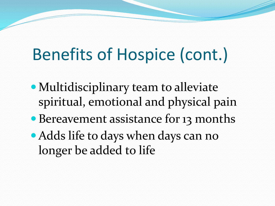## Benefits of Hospice (cont.)

- Multidisciplinary team to alleviate spiritual, emotional and physical pain
- Bereavement assistance for 13 months
- Adds life to days when days can no longer be added to life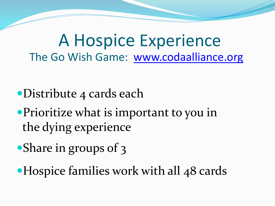A Hospice Experience The Go Wish Game: [www.codaalliance.org](http://www.codaalliance.org/)

- Distribute 4 cards each
- Prioritize what is important to you in the dying experience
- Share in groups of 3
- Hospice families work with all 48 cards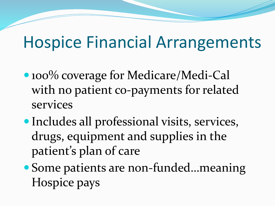### Hospice Financial Arrangements

- 100% coverage for Medicare/Medi-Cal with no patient co-payments for related services
- Includes all professional visits, services, drugs, equipment and supplies in the patient's plan of care
- Some patients are non-funded…meaning Hospice pays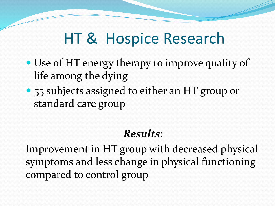### HT & Hospice Research

- Use of HT energy therapy to improve quality of life among the dying
- 55 subjects assigned to either an HT group or standard care group

#### *Results*:

Improvement in HT group with decreased physical symptoms and less change in physical functioning compared to control group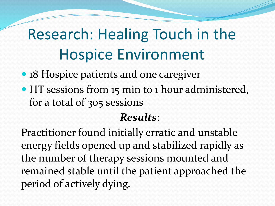## Research: Healing Touch in the Hospice Environment

- 18 Hospice patients and one caregiver
- HT sessions from 15 min to 1 hour administered, for a total of 305 sessions

### *Results*:

Practitioner found initially erratic and unstable energy fields opened up and stabilized rapidly as the number of therapy sessions mounted and remained stable until the patient approached the period of actively dying.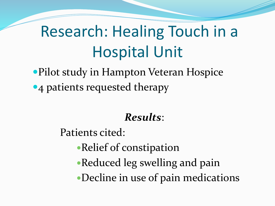### Research: Healing Touch in a Hospital Unit

Pilot study in Hampton Veteran Hospice • 4 patients requested therapy

#### *Results*:

Patients cited:

- Relief of constipation
- Reduced leg swelling and pain
- Decline in use of pain medications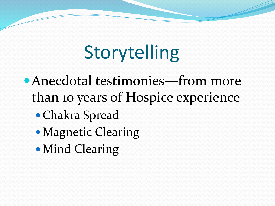# **Storytelling**

- Anecdotal testimonies—from more than 10 years of Hospice experience
	- Chakra Spread
	- Magnetic Clearing
	- Mind Clearing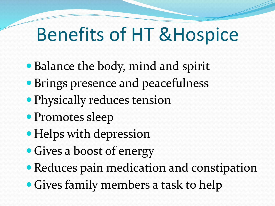## Benefits of HT &Hospice

- Balance the body, mind and spirit
- Brings presence and peacefulness
- Physically reduces tension
- Promotes sleep
- Helps with depression
- Gives a boost of energy
- Reduces pain medication and constipation
- Gives family members a task to help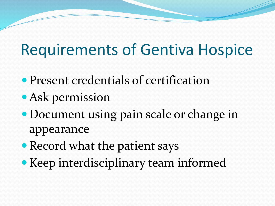### Requirements of Gentiva Hospice

- Present credentials of certification
- Ask permission
- Document using pain scale or change in appearance
- Record what the patient says
- Keep interdisciplinary team informed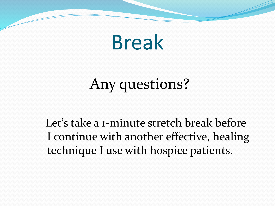# Break

## Any questions?

Let's take a 1-minute stretch break before I continue with another effective, healing technique I use with hospice patients.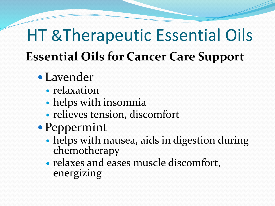## HT &Therapeutic Essential Oils **Essential Oils for Cancer Care Support**

- Lavender
	- relaxation
	- helps with insomnia
	- relieves tension, discomfort
- Peppermint
	- helps with nausea, aids in digestion during chemotherapy
	- relaxes and eases muscle discomfort, energizing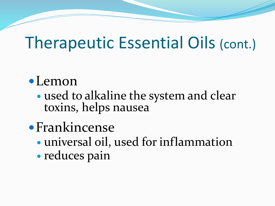### Therapeutic Essential Oils (cont.)

### Lemon

- used to alkaline the system and clear toxins, helps nausea
- Frankincense
	- universal oil, used for inflammation
	- reduces pain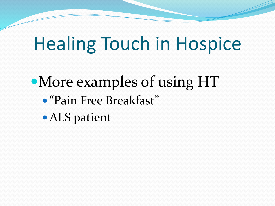## Healing Touch in Hospice

More examples of using HT "Pain Free Breakfast" ALS patient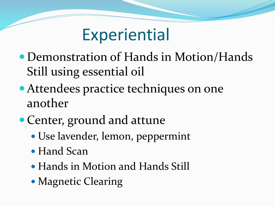### **Experiential**

- Demonstration of Hands in Motion/Hands Still using essential oil
- Attendees practice techniques on one another
- Center, ground and attune
	- Use lavender, lemon, peppermint
	- Hand Scan
	- Hands in Motion and Hands Still
	- Magnetic Clearing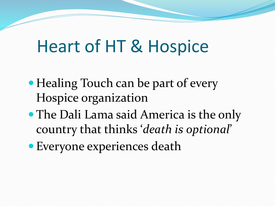## Heart of HT & Hospice

- Healing Touch can be part of every Hospice organization
- The Dali Lama said America is the only country that thinks '*death is optional*'
- Everyone experiences death